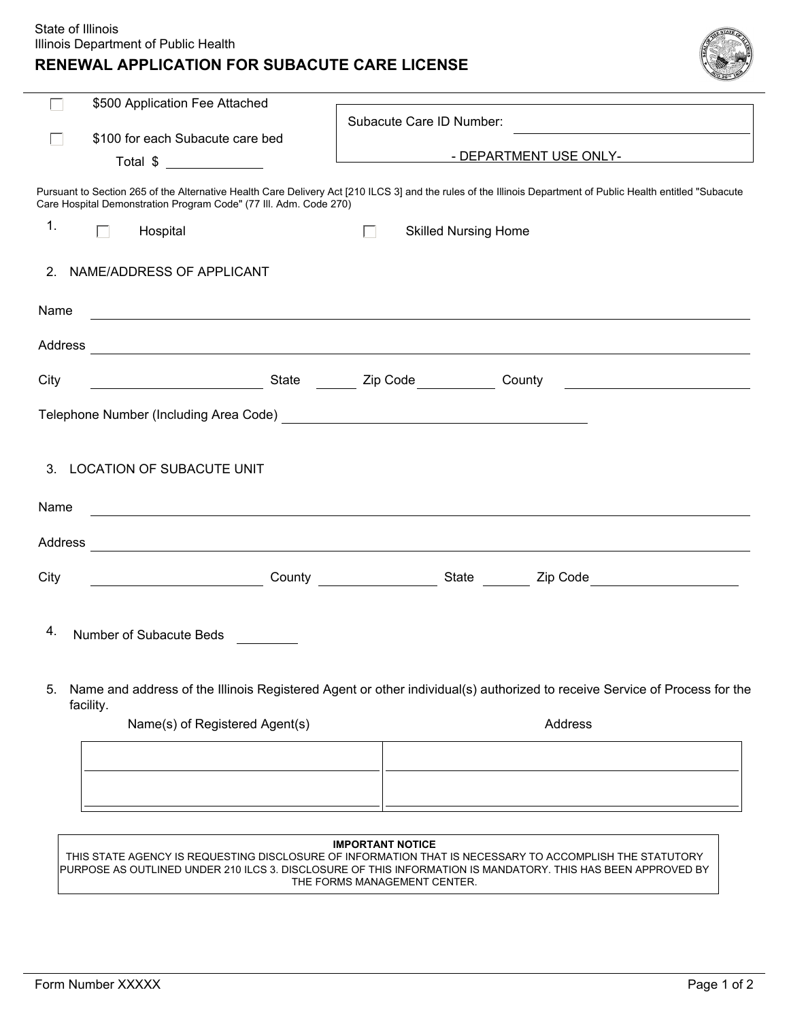## **RENEWAL APPLICATION FOR SUBACUTE CARE LICENSE**

| $T_{E}$ |  |
|---------|--|
|         |  |
|         |  |
|         |  |
|         |  |

|         | \$500 Application Fee Attached                                                                                             | Subacute Care ID Number:                                                                                                                                      |
|---------|----------------------------------------------------------------------------------------------------------------------------|---------------------------------------------------------------------------------------------------------------------------------------------------------------|
|         | \$100 for each Subacute care bed                                                                                           |                                                                                                                                                               |
|         | Total \$                                                                                                                   | - DEPARTMENT USE ONLY-                                                                                                                                        |
|         | Care Hospital Demonstration Program Code" (77 III. Adm. Code 270)                                                          | Pursuant to Section 265 of the Alternative Health Care Delivery Act [210 ILCS 3] and the rules of the Illinois Department of Public Health entitled "Subacute |
| 1.      | Hospital<br>П                                                                                                              | <b>Skilled Nursing Home</b><br>П                                                                                                                              |
| 2.      | NAME/ADDRESS OF APPLICANT                                                                                                  |                                                                                                                                                               |
| Name    | <u> 1980 - Johann Barbara, martxa alemaniar amerikan basar da a</u>                                                        |                                                                                                                                                               |
|         |                                                                                                                            |                                                                                                                                                               |
| City    | <b>Example 2</b> State <b>State</b> 2ip Code                                                                               | County                                                                                                                                                        |
|         |                                                                                                                            |                                                                                                                                                               |
|         |                                                                                                                            |                                                                                                                                                               |
| 3.      | LOCATION OF SUBACUTE UNIT                                                                                                  |                                                                                                                                                               |
| Name    |                                                                                                                            |                                                                                                                                                               |
| Address | <u>and the contract of the contract of the contract of the contract of the contract of the contract of the contract of</u> |                                                                                                                                                               |
| City    |                                                                                                                            |                                                                                                                                                               |
| 4.      | Number of Subacute Beds                                                                                                    |                                                                                                                                                               |
| 5.      | facility.                                                                                                                  | Name and address of the Illinois Registered Agent or other individual(s) authorized to receive Service of Process for the                                     |
|         | Name(s) of Registered Agent(s)                                                                                             | Address                                                                                                                                                       |
|         |                                                                                                                            |                                                                                                                                                               |
|         |                                                                                                                            |                                                                                                                                                               |
|         |                                                                                                                            |                                                                                                                                                               |
|         |                                                                                                                            |                                                                                                                                                               |
|         |                                                                                                                            | <b>IMPORTANT NOTICE</b><br>THIS STATE AGENCY IS REQUESTING DISCLOSURE OF INFORMATION THAT IS NECESSARY TO ACCOMPLISH THE STATUTORY                            |
|         |                                                                                                                            | PURPOSE AS OUTLINED UNDER 210 ILCS 3. DISCLOSURE OF THIS INFORMATION IS MANDATORY. THIS HAS BEEN APPROVED BY                                                  |